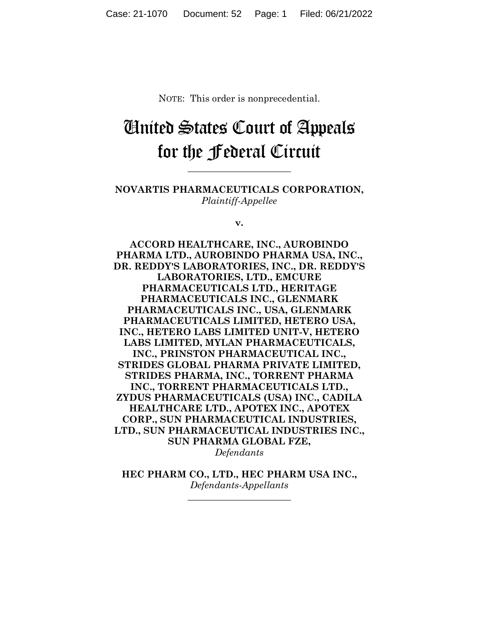NOTE: This order is nonprecedential.

## United States Court of Appeals for the Federal Circuit

**\_\_\_\_\_\_\_\_\_\_\_\_\_\_\_\_\_\_\_\_\_\_** 

**NOVARTIS PHARMACEUTICALS CORPORATION,** *Plaintiff-Appellee*

**v.**

**ACCORD HEALTHCARE, INC., AUROBINDO PHARMA LTD., AUROBINDO PHARMA USA, INC., DR. REDDY'S LABORATORIES, INC., DR. REDDY'S LABORATORIES, LTD., EMCURE PHARMACEUTICALS LTD., HERITAGE PHARMACEUTICALS INC., GLENMARK PHARMACEUTICALS INC., USA, GLENMARK PHARMACEUTICALS LIMITED, HETERO USA, INC., HETERO LABS LIMITED UNIT-V, HETERO LABS LIMITED, MYLAN PHARMACEUTICALS, INC., PRINSTON PHARMACEUTICAL INC., STRIDES GLOBAL PHARMA PRIVATE LIMITED, STRIDES PHARMA, INC., TORRENT PHARMA INC., TORRENT PHARMACEUTICALS LTD., ZYDUS PHARMACEUTICALS (USA) INC., CADILA HEALTHCARE LTD., APOTEX INC., APOTEX CORP., SUN PHARMACEUTICAL INDUSTRIES, LTD., SUN PHARMACEUTICAL INDUSTRIES INC., SUN PHARMA GLOBAL FZE,** *Defendants*

**HEC PHARM CO., LTD., HEC PHARM USA INC.,** *Defendants-Appellants*

**\_\_\_\_\_\_\_\_\_\_\_\_\_\_\_\_\_\_\_\_\_\_**